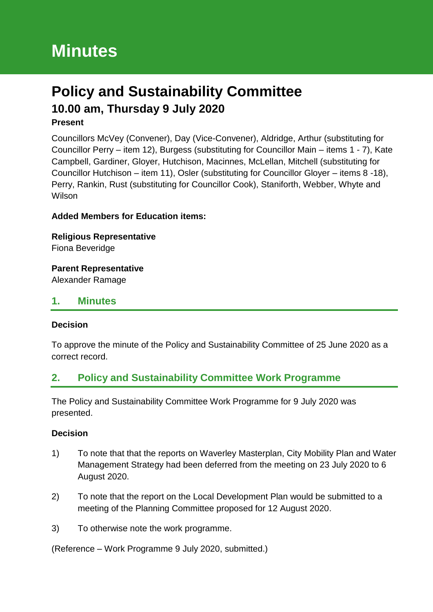# **Policy and Sustainability Committee 10.00 am, Thursday 9 July 2020**

#### **Present**

Councillors McVey (Convener), Day (Vice-Convener), Aldridge, Arthur (substituting for Councillor Perry – item 12), Burgess (substituting for Councillor Main – items 1 - 7), Kate Campbell, Gardiner, Gloyer, Hutchison, Macinnes, McLellan, Mitchell (substituting for Councillor Hutchison – item 11), Osler (substituting for Councillor Gloyer – items 8 -18), Perry, Rankin, Rust (substituting for Councillor Cook), Staniforth, Webber, Whyte and **Wilson** 

#### **Added Members for Education items:**

**Religious Representative** Fiona Beveridge

### **Parent Representative**

Alexander Ramage

### **1. Minutes**

#### **Decision**

To approve the minute of the Policy and Sustainability Committee of 25 June 2020 as a correct record.

# **2. Policy and Sustainability Committee Work Programme**

The Policy and Sustainability Committee Work Programme for 9 July 2020 was presented.

#### **Decision**

- 1) To note that that the reports on Waverley Masterplan, City Mobility Plan and Water Management Strategy had been deferred from the meeting on 23 July 2020 to 6 August 2020.
- 2) To note that the report on the Local Development Plan would be submitted to a meeting of the Planning Committee proposed for 12 August 2020.
- 3) To otherwise note the work programme.

(Reference – Work Programme 9 July 2020, submitted.)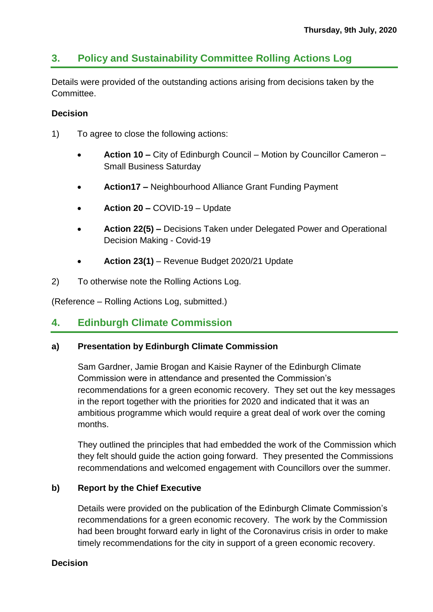# **3. Policy and Sustainability Committee Rolling Actions Log**

Details were provided of the outstanding actions arising from decisions taken by the Committee.

#### **Decision**

- 1) To agree to close the following actions:
	- **Action 10 –** City of Edinburgh Council Motion by Councillor Cameron Small Business Saturday
	- **Action17 –** Neighbourhood Alliance Grant Funding Payment
	- **Action 20 –** COVID-19 Update
	- **Action 22(5) –** Decisions Taken under Delegated Power and Operational Decision Making - Covid-19
	- **Action 23(1)**  Revenue Budget 2020/21 Update
- 2) To otherwise note the Rolling Actions Log.

(Reference – Rolling Actions Log, submitted.)

# **4. Edinburgh Climate Commission**

#### **a) Presentation by Edinburgh Climate Commission**

Sam Gardner, Jamie Brogan and Kaisie Rayner of the Edinburgh Climate Commission were in attendance and presented the Commission's recommendations for a green economic recovery. They set out the key messages in the report together with the priorities for 2020 and indicated that it was an ambitious programme which would require a great deal of work over the coming months.

They outlined the principles that had embedded the work of the Commission which they felt should guide the action going forward. They presented the Commissions recommendations and welcomed engagement with Councillors over the summer.

#### **b) Report by the Chief Executive**

Details were provided on the publication of the Edinburgh Climate Commission's recommendations for a green economic recovery. The work by the Commission had been brought forward early in light of the Coronavirus crisis in order to make timely recommendations for the city in support of a green economic recovery.

#### **Decision**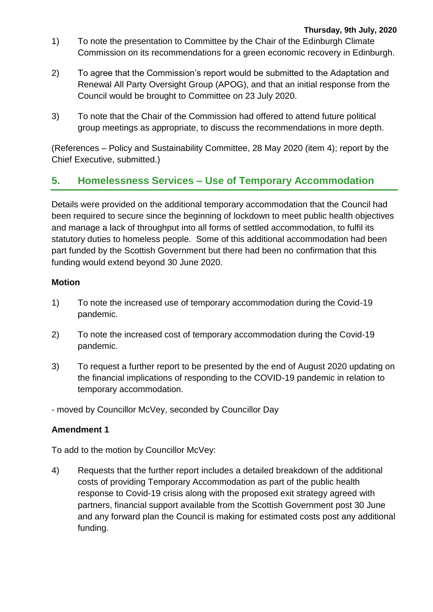- 1) To note the presentation to Committee by the Chair of the Edinburgh Climate Commission on its recommendations for a green economic recovery in Edinburgh.
- 2) To agree that the Commission's report would be submitted to the Adaptation and Renewal All Party Oversight Group (APOG), and that an initial response from the Council would be brought to Committee on 23 July 2020.
- 3) To note that the Chair of the Commission had offered to attend future political group meetings as appropriate, to discuss the recommendations in more depth.

(References – Policy and Sustainability Committee, 28 May 2020 (item 4); report by the Chief Executive, submitted.)

# **5. Homelessness Services – Use of Temporary Accommodation**

Details were provided on the additional temporary accommodation that the Council had been required to secure since the beginning of lockdown to meet public health objectives and manage a lack of throughput into all forms of settled accommodation, to fulfil its statutory duties to homeless people. Some of this additional accommodation had been part funded by the Scottish Government but there had been no confirmation that this funding would extend beyond 30 June 2020.

### **Motion**

- 1) To note the increased use of temporary accommodation during the Covid-19 pandemic.
- 2) To note the increased cost of temporary accommodation during the Covid-19 pandemic.
- 3) To request a further report to be presented by the end of August 2020 updating on the financial implications of responding to the COVID-19 pandemic in relation to temporary accommodation.
- moved by Councillor McVey, seconded by Councillor Day

# **Amendment 1**

To add to the motion by Councillor McVey:

4) Requests that the further report includes a detailed breakdown of the additional costs of providing Temporary Accommodation as part of the public health response to Covid-19 crisis along with the proposed exit strategy agreed with partners, financial support available from the Scottish Government post 30 June and any forward plan the Council is making for estimated costs post any additional funding.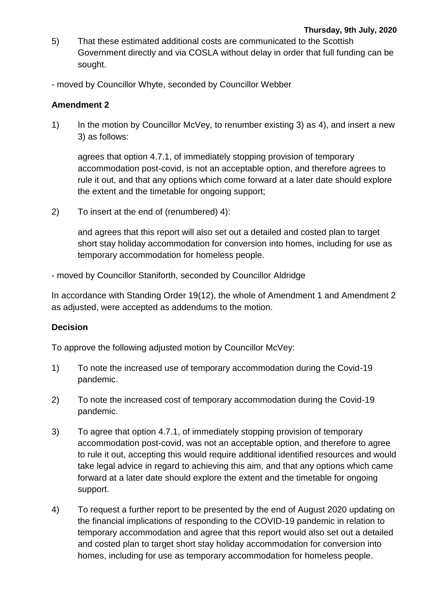- 5) That these estimated additional costs are communicated to the Scottish Government directly and via COSLA without delay in order that full funding can be sought.
- moved by Councillor Whyte, seconded by Councillor Webber

#### **Amendment 2**

1) In the motion by Councillor McVey, to renumber existing 3) as 4), and insert a new 3) as follows:

agrees that option 4.7.1, of immediately stopping provision of temporary accommodation post-covid, is not an acceptable option, and therefore agrees to rule it out, and that any options which come forward at a later date should explore the extent and the timetable for ongoing support;

2) To insert at the end of (renumbered) 4):

and agrees that this report will also set out a detailed and costed plan to target short stay holiday accommodation for conversion into homes, including for use as temporary accommodation for homeless people.

- moved by Councillor Staniforth, seconded by Councillor Aldridge

In accordance with Standing Order 19(12), the whole of Amendment 1 and Amendment 2 as adjusted, were accepted as addendums to the motion.

#### **Decision**

To approve the following adjusted motion by Councillor McVey:

- 1) To note the increased use of temporary accommodation during the Covid-19 pandemic.
- 2) To note the increased cost of temporary accommodation during the Covid-19 pandemic.
- 3) To agree that option 4.7.1, of immediately stopping provision of temporary accommodation post-covid, was not an acceptable option, and therefore to agree to rule it out, accepting this would require additional identified resources and would take legal advice in regard to achieving this aim, and that any options which came forward at a later date should explore the extent and the timetable for ongoing support.
- 4) To request a further report to be presented by the end of August 2020 updating on the financial implications of responding to the COVID-19 pandemic in relation to temporary accommodation and agree that this report would also set out a detailed and costed plan to target short stay holiday accommodation for conversion into homes, including for use as temporary accommodation for homeless people.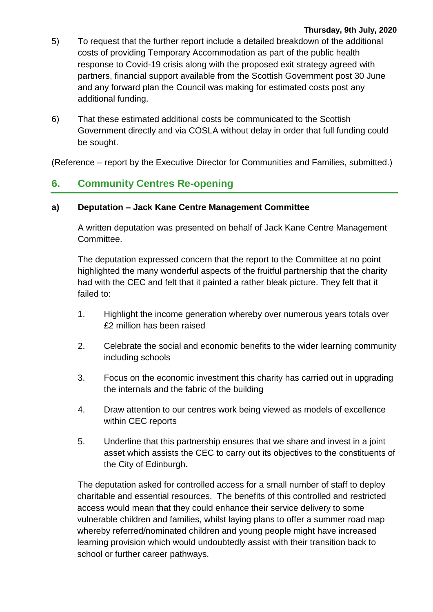- 5) To request that the further report include a detailed breakdown of the additional costs of providing Temporary Accommodation as part of the public health response to Covid-19 crisis along with the proposed exit strategy agreed with partners, financial support available from the Scottish Government post 30 June and any forward plan the Council was making for estimated costs post any additional funding.
- 6) That these estimated additional costs be communicated to the Scottish Government directly and via COSLA without delay in order that full funding could be sought.

(Reference – report by the Executive Director for Communities and Families, submitted.)

# **6. Community Centres Re-opening**

#### **a) Deputation – Jack Kane Centre Management Committee**

A written deputation was presented on behalf of Jack Kane Centre Management Committee.

The deputation expressed concern that the report to the Committee at no point highlighted the many wonderful aspects of the fruitful partnership that the charity had with the CEC and felt that it painted a rather bleak picture. They felt that it failed to:

- 1. Highlight the income generation whereby over numerous years totals over £2 million has been raised
- 2. Celebrate the social and economic benefits to the wider learning community including schools
- 3. Focus on the economic investment this charity has carried out in upgrading the internals and the fabric of the building
- 4. Draw attention to our centres work being viewed as models of excellence within CEC reports
- 5. Underline that this partnership ensures that we share and invest in a joint asset which assists the CEC to carry out its objectives to the constituents of the City of Edinburgh.

The deputation asked for controlled access for a small number of staff to deploy charitable and essential resources. The benefits of this controlled and restricted access would mean that they could enhance their service delivery to some vulnerable children and families, whilst laying plans to offer a summer road map whereby referred/nominated children and young people might have increased learning provision which would undoubtedly assist with their transition back to school or further career pathways.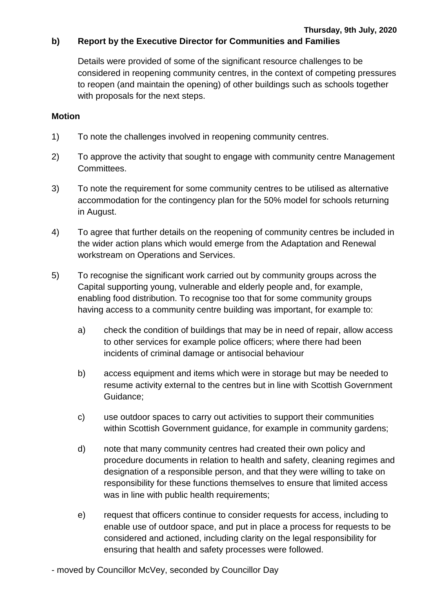Details were provided of some of the significant resource challenges to be considered in reopening community centres, in the context of competing pressures to reopen (and maintain the opening) of other buildings such as schools together with proposals for the next steps.

#### **Motion**

- 1) To note the challenges involved in reopening community centres.
- 2) To approve the activity that sought to engage with community centre Management Committees.
- 3) To note the requirement for some community centres to be utilised as alternative accommodation for the contingency plan for the 50% model for schools returning in August.
- 4) To agree that further details on the reopening of community centres be included in the wider action plans which would emerge from the Adaptation and Renewal workstream on Operations and Services.
- 5) To recognise the significant work carried out by community groups across the Capital supporting young, vulnerable and elderly people and, for example, enabling food distribution. To recognise too that for some community groups having access to a community centre building was important, for example to:
	- a) check the condition of buildings that may be in need of repair, allow access to other services for example police officers; where there had been incidents of criminal damage or antisocial behaviour
	- b) access equipment and items which were in storage but may be needed to resume activity external to the centres but in line with Scottish Government Guidance;
	- c) use outdoor spaces to carry out activities to support their communities within Scottish Government guidance, for example in community gardens;
	- d) note that many community centres had created their own policy and procedure documents in relation to health and safety, cleaning regimes and designation of a responsible person, and that they were willing to take on responsibility for these functions themselves to ensure that limited access was in line with public health requirements;
	- e) request that officers continue to consider requests for access, including to enable use of outdoor space, and put in place a process for requests to be considered and actioned, including clarity on the legal responsibility for ensuring that health and safety processes were followed.

- moved by Councillor McVey, seconded by Councillor Day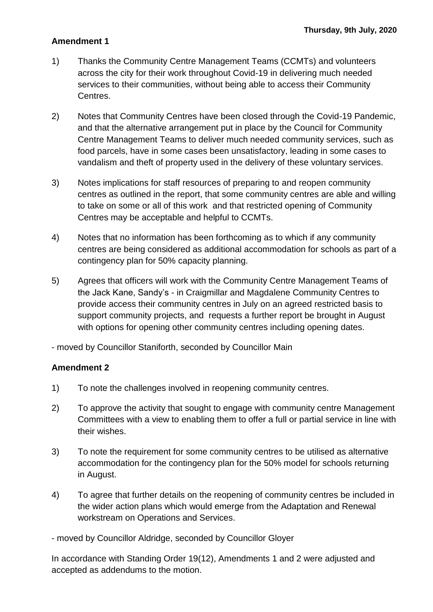#### **Amendment 1**

- 1) Thanks the Community Centre Management Teams (CCMTs) and volunteers across the city for their work throughout Covid-19 in delivering much needed services to their communities, without being able to access their Community Centres.
- 2) Notes that Community Centres have been closed through the Covid-19 Pandemic, and that the alternative arrangement put in place by the Council for Community Centre Management Teams to deliver much needed community services, such as food parcels, have in some cases been unsatisfactory, leading in some cases to vandalism and theft of property used in the delivery of these voluntary services.
- 3) Notes implications for staff resources of preparing to and reopen community centres as outlined in the report, that some community centres are able and willing to take on some or all of this work and that restricted opening of Community Centres may be acceptable and helpful to CCMTs.
- 4) Notes that no information has been forthcoming as to which if any community centres are being considered as additional accommodation for schools as part of a contingency plan for 50% capacity planning.
- 5) Agrees that officers will work with the Community Centre Management Teams of the Jack Kane, Sandy's - in Craigmillar and Magdalene Community Centres to provide access their community centres in July on an agreed restricted basis to support community projects, and requests a further report be brought in August with options for opening other community centres including opening dates.

- moved by Councillor Staniforth, seconded by Councillor Main

#### **Amendment 2**

- 1) To note the challenges involved in reopening community centres.
- 2) To approve the activity that sought to engage with community centre Management Committees with a view to enabling them to offer a full or partial service in line with their wishes.
- 3) To note the requirement for some community centres to be utilised as alternative accommodation for the contingency plan for the 50% model for schools returning in August.
- 4) To agree that further details on the reopening of community centres be included in the wider action plans which would emerge from the Adaptation and Renewal workstream on Operations and Services.

- moved by Councillor Aldridge, seconded by Councillor Gloyer

In accordance with Standing Order 19(12), Amendments 1 and 2 were adjusted and accepted as addendums to the motion.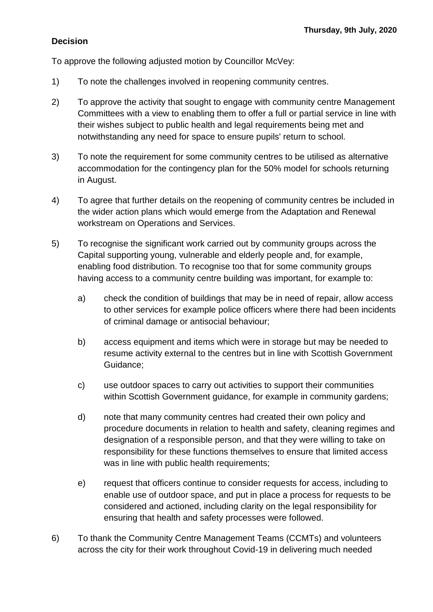### **Decision**

To approve the following adjusted motion by Councillor McVey:

- 1) To note the challenges involved in reopening community centres.
- 2) To approve the activity that sought to engage with community centre Management Committees with a view to enabling them to offer a full or partial service in line with their wishes subject to public health and legal requirements being met and notwithstanding any need for space to ensure pupils' return to school.
- 3) To note the requirement for some community centres to be utilised as alternative accommodation for the contingency plan for the 50% model for schools returning in August.
- 4) To agree that further details on the reopening of community centres be included in the wider action plans which would emerge from the Adaptation and Renewal workstream on Operations and Services.
- 5) To recognise the significant work carried out by community groups across the Capital supporting young, vulnerable and elderly people and, for example, enabling food distribution. To recognise too that for some community groups having access to a community centre building was important, for example to:
	- a) check the condition of buildings that may be in need of repair, allow access to other services for example police officers where there had been incidents of criminal damage or antisocial behaviour;
	- b) access equipment and items which were in storage but may be needed to resume activity external to the centres but in line with Scottish Government Guidance;
	- c) use outdoor spaces to carry out activities to support their communities within Scottish Government guidance, for example in community gardens;
	- d) note that many community centres had created their own policy and procedure documents in relation to health and safety, cleaning regimes and designation of a responsible person, and that they were willing to take on responsibility for these functions themselves to ensure that limited access was in line with public health requirements;
	- e) request that officers continue to consider requests for access, including to enable use of outdoor space, and put in place a process for requests to be considered and actioned, including clarity on the legal responsibility for ensuring that health and safety processes were followed.
- 6) To thank the Community Centre Management Teams (CCMTs) and volunteers across the city for their work throughout Covid-19 in delivering much needed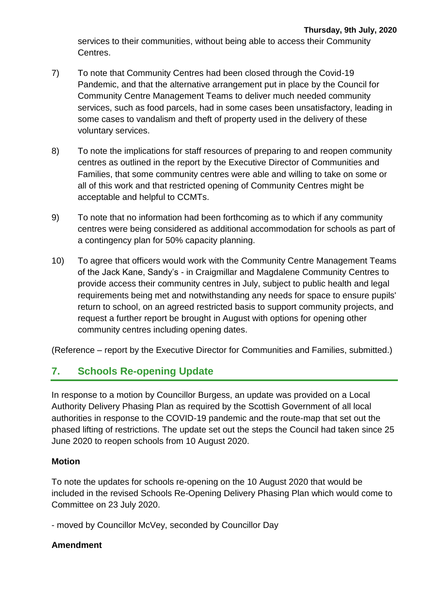services to their communities, without being able to access their Community Centres.

- 7) To note that Community Centres had been closed through the Covid-19 Pandemic, and that the alternative arrangement put in place by the Council for Community Centre Management Teams to deliver much needed community services, such as food parcels, had in some cases been unsatisfactory, leading in some cases to vandalism and theft of property used in the delivery of these voluntary services.
- 8) To note the implications for staff resources of preparing to and reopen community centres as outlined in the report by the Executive Director of Communities and Families, that some community centres were able and willing to take on some or all of this work and that restricted opening of Community Centres might be acceptable and helpful to CCMTs.
- 9) To note that no information had been forthcoming as to which if any community centres were being considered as additional accommodation for schools as part of a contingency plan for 50% capacity planning.
- 10) To agree that officers would work with the Community Centre Management Teams of the Jack Kane, Sandy's - in Craigmillar and Magdalene Community Centres to provide access their community centres in July, subject to public health and legal requirements being met and notwithstanding any needs for space to ensure pupils' return to school, on an agreed restricted basis to support community projects, and request a further report be brought in August with options for opening other community centres including opening dates.

(Reference – report by the Executive Director for Communities and Families, submitted.)

# **7. Schools Re-opening Update**

In response to a motion by Councillor Burgess, an update was provided on a Local Authority Delivery Phasing Plan as required by the Scottish Government of all local authorities in response to the COVID-19 pandemic and the route-map that set out the phased lifting of restrictions. The update set out the steps the Council had taken since 25 June 2020 to reopen schools from 10 August 2020.

# **Motion**

To note the updates for schools re-opening on the 10 August 2020 that would be included in the revised Schools Re-Opening Delivery Phasing Plan which would come to Committee on 23 July 2020.

- moved by Councillor McVey, seconded by Councillor Day

#### **Amendment**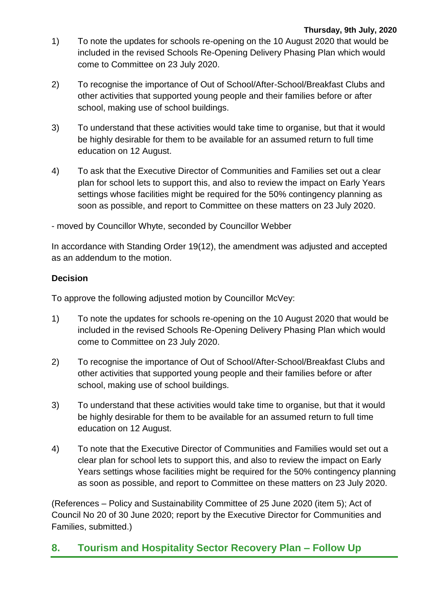- 1) To note the updates for schools re-opening on the 10 August 2020 that would be included in the revised Schools Re-Opening Delivery Phasing Plan which would come to Committee on 23 July 2020.
- 2) To recognise the importance of Out of School/After-School/Breakfast Clubs and other activities that supported young people and their families before or after school, making use of school buildings.
- 3) To understand that these activities would take time to organise, but that it would be highly desirable for them to be available for an assumed return to full time education on 12 August.
- 4) To ask that the Executive Director of Communities and Families set out a clear plan for school lets to support this, and also to review the impact on Early Years settings whose facilities might be required for the 50% contingency planning as soon as possible, and report to Committee on these matters on 23 July 2020.

- moved by Councillor Whyte, seconded by Councillor Webber

In accordance with Standing Order 19(12), the amendment was adjusted and accepted as an addendum to the motion.

# **Decision**

To approve the following adjusted motion by Councillor McVey:

- 1) To note the updates for schools re-opening on the 10 August 2020 that would be included in the revised Schools Re-Opening Delivery Phasing Plan which would come to Committee on 23 July 2020.
- 2) To recognise the importance of Out of School/After-School/Breakfast Clubs and other activities that supported young people and their families before or after school, making use of school buildings.
- 3) To understand that these activities would take time to organise, but that it would be highly desirable for them to be available for an assumed return to full time education on 12 August.
- 4) To note that the Executive Director of Communities and Families would set out a clear plan for school lets to support this, and also to review the impact on Early Years settings whose facilities might be required for the 50% contingency planning as soon as possible, and report to Committee on these matters on 23 July 2020.

(References – Policy and Sustainability Committee of 25 June 2020 (item 5); Act of Council No 20 of 30 June 2020; report by the Executive Director for Communities and Families, submitted.)

# **8. Tourism and Hospitality Sector Recovery Plan – Follow Up**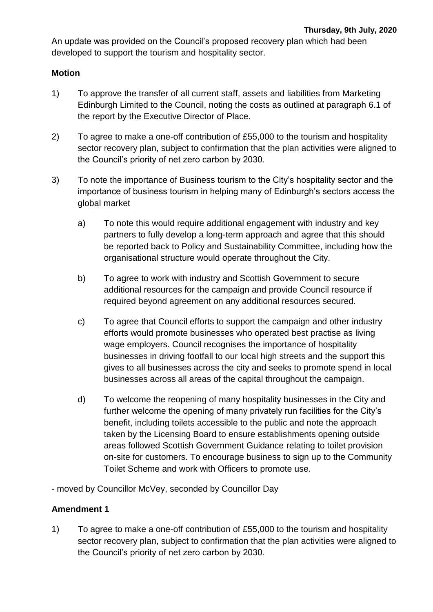An update was provided on the Council's proposed recovery plan which had been developed to support the tourism and hospitality sector.

#### **Motion**

- 1) To approve the transfer of all current staff, assets and liabilities from Marketing Edinburgh Limited to the Council, noting the costs as outlined at paragraph 6.1 of the report by the Executive Director of Place.
- 2) To agree to make a one-off contribution of £55,000 to the tourism and hospitality sector recovery plan, subject to confirmation that the plan activities were aligned to the Council's priority of net zero carbon by 2030.
- 3) To note the importance of Business tourism to the City's hospitality sector and the importance of business tourism in helping many of Edinburgh's sectors access the global market
	- a) To note this would require additional engagement with industry and key partners to fully develop a long-term approach and agree that this should be reported back to Policy and Sustainability Committee, including how the organisational structure would operate throughout the City.
	- b) To agree to work with industry and Scottish Government to secure additional resources for the campaign and provide Council resource if required beyond agreement on any additional resources secured.
	- c) To agree that Council efforts to support the campaign and other industry efforts would promote businesses who operated best practise as living wage employers. Council recognises the importance of hospitality businesses in driving footfall to our local high streets and the support this gives to all businesses across the city and seeks to promote spend in local businesses across all areas of the capital throughout the campaign.
	- d) To welcome the reopening of many hospitality businesses in the City and further welcome the opening of many privately run facilities for the City's benefit, including toilets accessible to the public and note the approach taken by the Licensing Board to ensure establishments opening outside areas followed Scottish Government Guidance relating to toilet provision on-site for customers. To encourage business to sign up to the Community Toilet Scheme and work with Officers to promote use.
- moved by Councillor McVey, seconded by Councillor Day

# **Amendment 1**

1) To agree to make a one-off contribution of £55,000 to the tourism and hospitality sector recovery plan, subject to confirmation that the plan activities were aligned to the Council's priority of net zero carbon by 2030.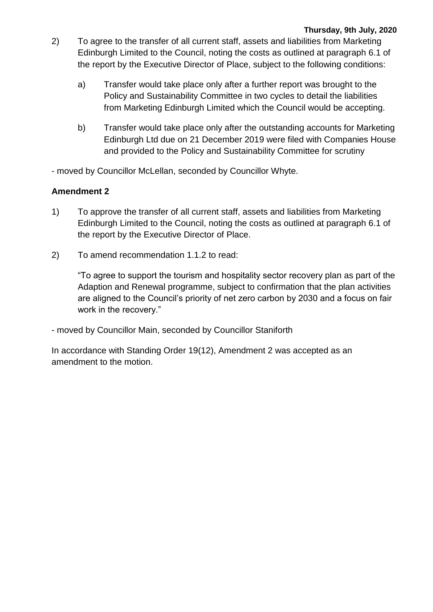- 2) To agree to the transfer of all current staff, assets and liabilities from Marketing Edinburgh Limited to the Council, noting the costs as outlined at paragraph 6.1 of the report by the Executive Director of Place, subject to the following conditions:
	- a) Transfer would take place only after a further report was brought to the Policy and Sustainability Committee in two cycles to detail the liabilities from Marketing Edinburgh Limited which the Council would be accepting.
	- b) Transfer would take place only after the outstanding accounts for Marketing Edinburgh Ltd due on 21 December 2019 were filed with Companies House and provided to the Policy and Sustainability Committee for scrutiny

- moved by Councillor McLellan, seconded by Councillor Whyte.

### **Amendment 2**

- 1) To approve the transfer of all current staff, assets and liabilities from Marketing Edinburgh Limited to the Council, noting the costs as outlined at paragraph 6.1 of the report by the Executive Director of Place.
- 2) To amend recommendation 1.1.2 to read:

"To agree to support the tourism and hospitality sector recovery plan as part of the Adaption and Renewal programme, subject to confirmation that the plan activities are aligned to the Council's priority of net zero carbon by 2030 and a focus on fair work in the recovery."

- moved by Councillor Main, seconded by Councillor Staniforth

In accordance with Standing Order 19(12), Amendment 2 was accepted as an amendment to the motion.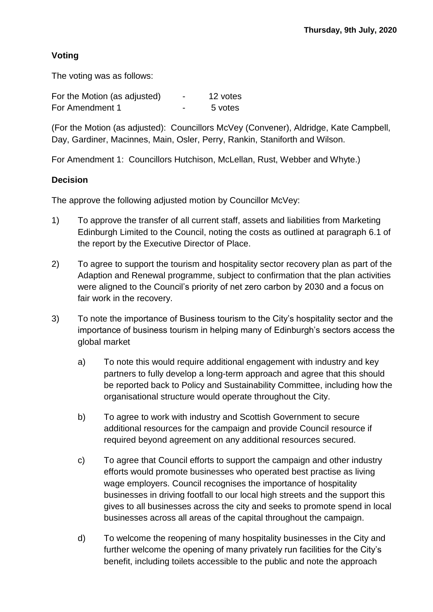### **Voting**

The voting was as follows:

| For the Motion (as adjusted) | $\blacksquare$ | 12 votes |
|------------------------------|----------------|----------|
| For Amendment 1              | -              | 5 votes  |

(For the Motion (as adjusted): Councillors McVey (Convener), Aldridge, Kate Campbell, Day, Gardiner, Macinnes, Main, Osler, Perry, Rankin, Staniforth and Wilson.

For Amendment 1: Councillors Hutchison, McLellan, Rust, Webber and Whyte.)

#### **Decision**

The approve the following adjusted motion by Councillor McVey:

- 1) To approve the transfer of all current staff, assets and liabilities from Marketing Edinburgh Limited to the Council, noting the costs as outlined at paragraph 6.1 of the report by the Executive Director of Place.
- 2) To agree to support the tourism and hospitality sector recovery plan as part of the Adaption and Renewal programme, subject to confirmation that the plan activities were aligned to the Council's priority of net zero carbon by 2030 and a focus on fair work in the recovery.
- 3) To note the importance of Business tourism to the City's hospitality sector and the importance of business tourism in helping many of Edinburgh's sectors access the global market
	- a) To note this would require additional engagement with industry and key partners to fully develop a long-term approach and agree that this should be reported back to Policy and Sustainability Committee, including how the organisational structure would operate throughout the City.
	- b) To agree to work with industry and Scottish Government to secure additional resources for the campaign and provide Council resource if required beyond agreement on any additional resources secured.
	- c) To agree that Council efforts to support the campaign and other industry efforts would promote businesses who operated best practise as living wage employers. Council recognises the importance of hospitality businesses in driving footfall to our local high streets and the support this gives to all businesses across the city and seeks to promote spend in local businesses across all areas of the capital throughout the campaign.
	- d) To welcome the reopening of many hospitality businesses in the City and further welcome the opening of many privately run facilities for the City's benefit, including toilets accessible to the public and note the approach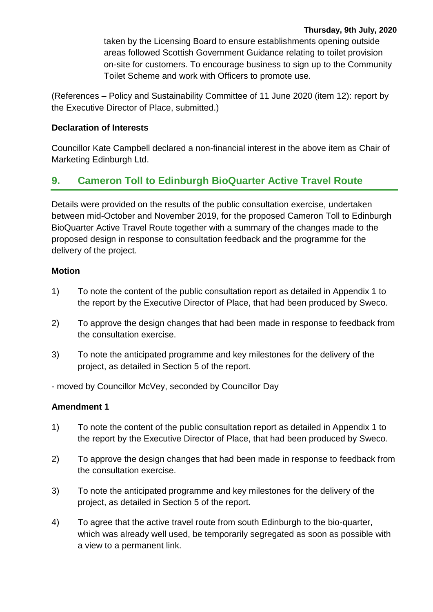#### **Thursday, 9th July, 2020**

taken by the Licensing Board to ensure establishments opening outside areas followed Scottish Government Guidance relating to toilet provision on-site for customers. To encourage business to sign up to the Community Toilet Scheme and work with Officers to promote use.

(References – Policy and Sustainability Committee of 11 June 2020 (item 12): report by the Executive Director of Place, submitted.)

#### **Declaration of Interests**

Councillor Kate Campbell declared a non-financial interest in the above item as Chair of Marketing Edinburgh Ltd.

# **9. Cameron Toll to Edinburgh BioQuarter Active Travel Route**

Details were provided on the results of the public consultation exercise, undertaken between mid-October and November 2019, for the proposed Cameron Toll to Edinburgh BioQuarter Active Travel Route together with a summary of the changes made to the proposed design in response to consultation feedback and the programme for the delivery of the project.

#### **Motion**

- 1) To note the content of the public consultation report as detailed in Appendix 1 to the report by the Executive Director of Place, that had been produced by Sweco.
- 2) To approve the design changes that had been made in response to feedback from the consultation exercise.
- 3) To note the anticipated programme and key milestones for the delivery of the project, as detailed in Section 5 of the report.

- moved by Councillor McVey, seconded by Councillor Day

#### **Amendment 1**

- 1) To note the content of the public consultation report as detailed in Appendix 1 to the report by the Executive Director of Place, that had been produced by Sweco.
- 2) To approve the design changes that had been made in response to feedback from the consultation exercise.
- 3) To note the anticipated programme and key milestones for the delivery of the project, as detailed in Section 5 of the report.
- 4) To agree that the active travel route from south Edinburgh to the bio-quarter, which was already well used, be temporarily segregated as soon as possible with a view to a permanent link.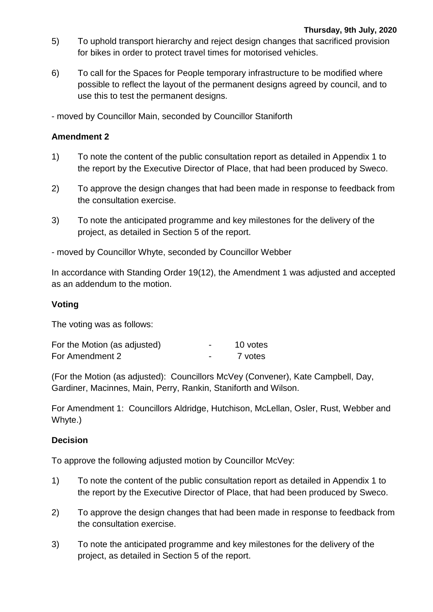- 5) To uphold transport hierarchy and reject design changes that sacrificed provision for bikes in order to protect travel times for motorised vehicles.
- 6) To call for the Spaces for People temporary infrastructure to be modified where possible to reflect the layout of the permanent designs agreed by council, and to use this to test the permanent designs.
- moved by Councillor Main, seconded by Councillor Staniforth

#### **Amendment 2**

- 1) To note the content of the public consultation report as detailed in Appendix 1 to the report by the Executive Director of Place, that had been produced by Sweco.
- 2) To approve the design changes that had been made in response to feedback from the consultation exercise.
- 3) To note the anticipated programme and key milestones for the delivery of the project, as detailed in Section 5 of the report.

- moved by Councillor Whyte, seconded by Councillor Webber

In accordance with Standing Order 19(12), the Amendment 1 was adjusted and accepted as an addendum to the motion.

#### **Voting**

The voting was as follows:

| For the Motion (as adjusted) | - | 10 votes |
|------------------------------|---|----------|
| For Amendment 2              | - | 7 votes  |

(For the Motion (as adjusted): Councillors McVey (Convener), Kate Campbell, Day, Gardiner, Macinnes, Main, Perry, Rankin, Staniforth and Wilson.

For Amendment 1: Councillors Aldridge, Hutchison, McLellan, Osler, Rust, Webber and Whyte.)

#### **Decision**

To approve the following adjusted motion by Councillor McVey:

- 1) To note the content of the public consultation report as detailed in Appendix 1 to the report by the Executive Director of Place, that had been produced by Sweco.
- 2) To approve the design changes that had been made in response to feedback from the consultation exercise.
- 3) To note the anticipated programme and key milestones for the delivery of the project, as detailed in Section 5 of the report.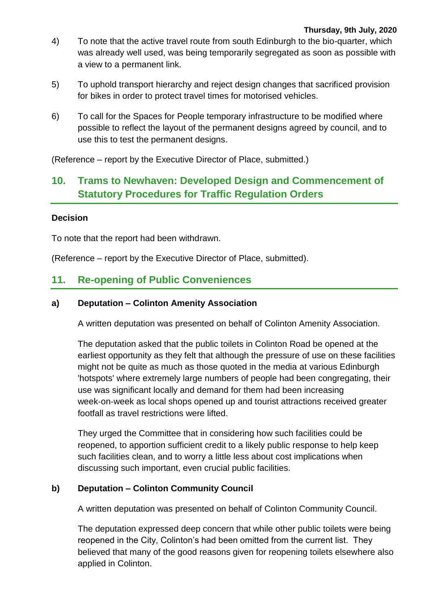- 4) To note that the active travel route from south Edinburgh to the bio-quarter, which was already well used, was being temporarily segregated as soon as possible with a view to a permanent link.
- 5) To uphold transport hierarchy and reject design changes that sacrificed provision for bikes in order to protect travel times for motorised vehicles.
- 6) To call for the Spaces for People temporary infrastructure to be modified where possible to reflect the layout of the permanent designs agreed by council, and to use this to test the permanent designs.

(Reference – report by the Executive Director of Place, submitted.)

# **10. Trams to Newhaven: Developed Design and Commencement of Statutory Procedures for Traffic Regulation Orders**

#### **Decision**

To note that the report had been withdrawn.

(Reference – report by the Executive Director of Place, submitted).

# **11. Re-opening of Public Conveniences**

#### **a) Deputation – Colinton Amenity Association**

A written deputation was presented on behalf of Colinton Amenity Association.

The deputation asked that the public toilets in Colinton Road be opened at the earliest opportunity as they felt that although the pressure of use on these facilities might not be quite as much as those quoted in the media at various Edinburgh 'hotspots' where extremely large numbers of people had been congregating, their use was significant locally and demand for them had been increasing week-on-week as local shops opened up and tourist attractions received greater footfall as travel restrictions were lifted.

They urged the Committee that in considering how such facilities could be reopened, to apportion sufficient credit to a likely public response to help keep such facilities clean, and to worry a little less about cost implications when discussing such important, even crucial public facilities.

#### **b) Deputation – Colinton Community Council**

A written deputation was presented on behalf of Colinton Community Council.

The deputation expressed deep concern that while other public toilets were being reopened in the City, Colinton's had been omitted from the current list. They believed that many of the good reasons given for reopening toilets elsewhere also applied in Colinton.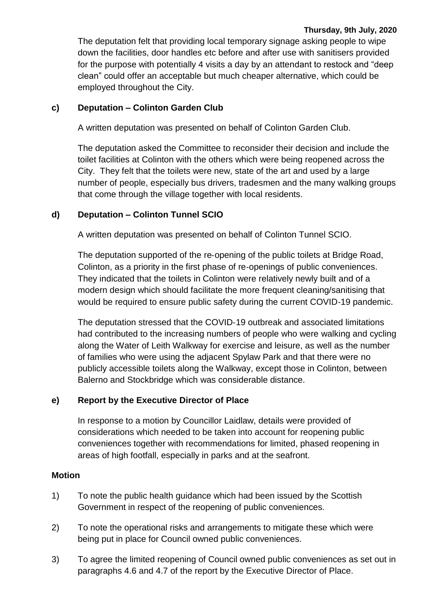#### **Thursday, 9th July, 2020**

The deputation felt that providing local temporary signage asking people to wipe down the facilities, door handles etc before and after use with sanitisers provided for the purpose with potentially 4 visits a day by an attendant to restock and "deep clean" could offer an acceptable but much cheaper alternative, which could be employed throughout the City.

#### **c) Deputation – Colinton Garden Club**

A written deputation was presented on behalf of Colinton Garden Club.

The deputation asked the Committee to reconsider their decision and include the toilet facilities at Colinton with the others which were being reopened across the City. They felt that the toilets were new, state of the art and used by a large number of people, especially bus drivers, tradesmen and the many walking groups that come through the village together with local residents.

#### **d) Deputation – Colinton Tunnel SCIO**

A written deputation was presented on behalf of Colinton Tunnel SCIO.

The deputation supported of the re‐opening of the public toilets at Bridge Road, Colinton, as a priority in the first phase of re‐openings of public conveniences. They indicated that the toilets in Colinton were relatively newly built and of a modern design which should facilitate the more frequent cleaning/sanitising that would be required to ensure public safety during the current COVID‐19 pandemic.

The deputation stressed that the COVID‐19 outbreak and associated limitations had contributed to the increasing numbers of people who were walking and cycling along the Water of Leith Walkway for exercise and leisure, as well as the number of families who were using the adjacent Spylaw Park and that there were no publicly accessible toilets along the Walkway, except those in Colinton, between Balerno and Stockbridge which was considerable distance.

#### **e) Report by the Executive Director of Place**

In response to a motion by Councillor Laidlaw, details were provided of considerations which needed to be taken into account for reopening public conveniences together with recommendations for limited, phased reopening in areas of high footfall, especially in parks and at the seafront.

#### **Motion**

- 1) To note the public health guidance which had been issued by the Scottish Government in respect of the reopening of public conveniences.
- 2) To note the operational risks and arrangements to mitigate these which were being put in place for Council owned public conveniences.
- 3) To agree the limited reopening of Council owned public conveniences as set out in paragraphs 4.6 and 4.7 of the report by the Executive Director of Place.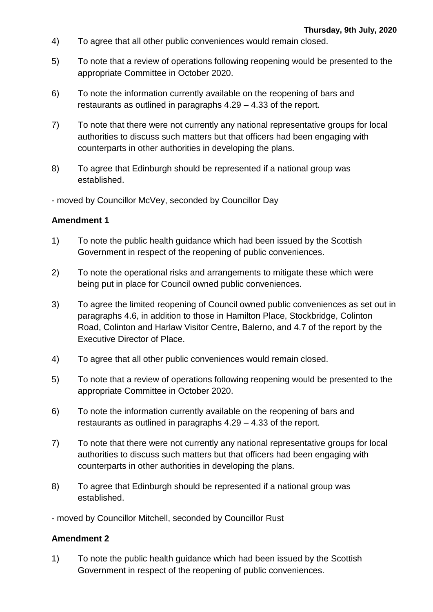- 4) To agree that all other public conveniences would remain closed.
- 5) To note that a review of operations following reopening would be presented to the appropriate Committee in October 2020.
- 6) To note the information currently available on the reopening of bars and restaurants as outlined in paragraphs 4.29 – 4.33 of the report.
- 7) To note that there were not currently any national representative groups for local authorities to discuss such matters but that officers had been engaging with counterparts in other authorities in developing the plans.
- 8) To agree that Edinburgh should be represented if a national group was established.

- moved by Councillor McVey, seconded by Councillor Day

#### **Amendment 1**

- 1) To note the public health guidance which had been issued by the Scottish Government in respect of the reopening of public conveniences.
- 2) To note the operational risks and arrangements to mitigate these which were being put in place for Council owned public conveniences.
- 3) To agree the limited reopening of Council owned public conveniences as set out in paragraphs 4.6, in addition to those in Hamilton Place, Stockbridge, Colinton Road, Colinton and Harlaw Visitor Centre, Balerno, and 4.7 of the report by the Executive Director of Place.
- 4) To agree that all other public conveniences would remain closed.
- 5) To note that a review of operations following reopening would be presented to the appropriate Committee in October 2020.
- 6) To note the information currently available on the reopening of bars and restaurants as outlined in paragraphs 4.29 – 4.33 of the report.
- 7) To note that there were not currently any national representative groups for local authorities to discuss such matters but that officers had been engaging with counterparts in other authorities in developing the plans.
- 8) To agree that Edinburgh should be represented if a national group was established.
- moved by Councillor Mitchell, seconded by Councillor Rust

#### **Amendment 2**

1) To note the public health guidance which had been issued by the Scottish Government in respect of the reopening of public conveniences.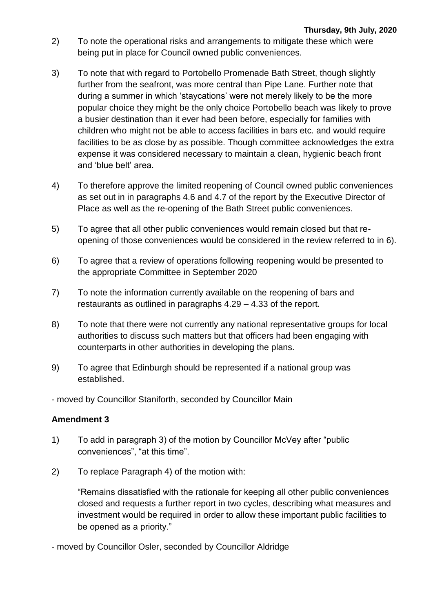- 2) To note the operational risks and arrangements to mitigate these which were being put in place for Council owned public conveniences.
- 3) To note that with regard to Portobello Promenade Bath Street, though slightly further from the seafront, was more central than Pipe Lane. Further note that during a summer in which 'staycations' were not merely likely to be the more popular choice they might be the only choice Portobello beach was likely to prove a busier destination than it ever had been before, especially for families with children who might not be able to access facilities in bars etc. and would require facilities to be as close by as possible. Though committee acknowledges the extra expense it was considered necessary to maintain a clean, hygienic beach front and 'blue belt' area.
- 4) To therefore approve the limited reopening of Council owned public conveniences as set out in in paragraphs 4.6 and 4.7 of the report by the Executive Director of Place as well as the re-opening of the Bath Street public conveniences.
- 5) To agree that all other public conveniences would remain closed but that reopening of those conveniences would be considered in the review referred to in 6).
- 6) To agree that a review of operations following reopening would be presented to the appropriate Committee in September 2020
- 7) To note the information currently available on the reopening of bars and restaurants as outlined in paragraphs 4.29 – 4.33 of the report.
- 8) To note that there were not currently any national representative groups for local authorities to discuss such matters but that officers had been engaging with counterparts in other authorities in developing the plans.
- 9) To agree that Edinburgh should be represented if a national group was established.
- moved by Councillor Staniforth, seconded by Councillor Main

# **Amendment 3**

- 1) To add in paragraph 3) of the motion by Councillor McVey after "public conveniences", "at this time".
- 2) To replace Paragraph 4) of the motion with:

"Remains dissatisfied with the rationale for keeping all other public conveniences closed and requests a further report in two cycles, describing what measures and investment would be required in order to allow these important public facilities to be opened as a priority."

- moved by Councillor Osler, seconded by Councillor Aldridge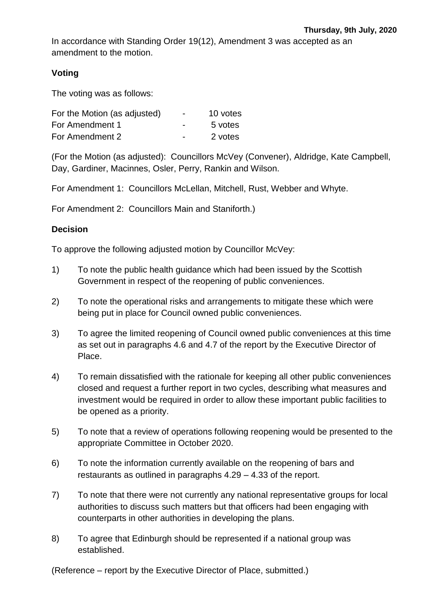In accordance with Standing Order 19(12), Amendment 3 was accepted as an amendment to the motion.

### **Voting**

The voting was as follows:

| For the Motion (as adjusted) | $\blacksquare$ | 10 votes |
|------------------------------|----------------|----------|
| For Amendment 1              | $\blacksquare$ | 5 votes  |
| For Amendment 2              | $\blacksquare$ | 2 votes  |

(For the Motion (as adjusted): Councillors McVey (Convener), Aldridge, Kate Campbell, Day, Gardiner, Macinnes, Osler, Perry, Rankin and Wilson.

For Amendment 1: Councillors McLellan, Mitchell, Rust, Webber and Whyte.

For Amendment 2: Councillors Main and Staniforth.)

#### **Decision**

To approve the following adjusted motion by Councillor McVey:

- 1) To note the public health guidance which had been issued by the Scottish Government in respect of the reopening of public conveniences.
- 2) To note the operational risks and arrangements to mitigate these which were being put in place for Council owned public conveniences.
- 3) To agree the limited reopening of Council owned public conveniences at this time as set out in paragraphs 4.6 and 4.7 of the report by the Executive Director of Place.
- 4) To remain dissatisfied with the rationale for keeping all other public conveniences closed and request a further report in two cycles, describing what measures and investment would be required in order to allow these important public facilities to be opened as a priority.
- 5) To note that a review of operations following reopening would be presented to the appropriate Committee in October 2020.
- 6) To note the information currently available on the reopening of bars and restaurants as outlined in paragraphs 4.29 – 4.33 of the report.
- 7) To note that there were not currently any national representative groups for local authorities to discuss such matters but that officers had been engaging with counterparts in other authorities in developing the plans.
- 8) To agree that Edinburgh should be represented if a national group was established.

(Reference – report by the Executive Director of Place, submitted.)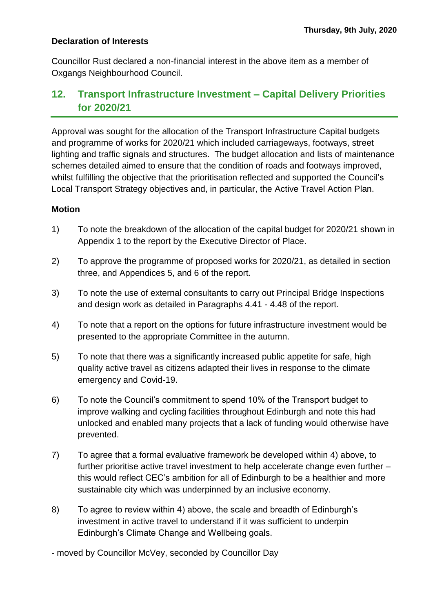#### **Declaration of Interests**

Councillor Rust declared a non-financial interest in the above item as a member of Oxgangs Neighbourhood Council.

# **12. Transport Infrastructure Investment – Capital Delivery Priorities for 2020/21**

Approval was sought for the allocation of the Transport Infrastructure Capital budgets and programme of works for 2020/21 which included carriageways, footways, street lighting and traffic signals and structures. The budget allocation and lists of maintenance schemes detailed aimed to ensure that the condition of roads and footways improved, whilst fulfilling the objective that the prioritisation reflected and supported the Council's Local Transport Strategy objectives and, in particular, the Active Travel Action Plan.

#### **Motion**

- 1) To note the breakdown of the allocation of the capital budget for 2020/21 shown in Appendix 1 to the report by the Executive Director of Place.
- 2) To approve the programme of proposed works for 2020/21, as detailed in section three, and Appendices 5, and 6 of the report.
- 3) To note the use of external consultants to carry out Principal Bridge Inspections and design work as detailed in Paragraphs 4.41 - 4.48 of the report.
- 4) To note that a report on the options for future infrastructure investment would be presented to the appropriate Committee in the autumn.
- 5) To note that there was a significantly increased public appetite for safe, high quality active travel as citizens adapted their lives in response to the climate emergency and Covid-19.
- 6) To note the Council's commitment to spend 10% of the Transport budget to improve walking and cycling facilities throughout Edinburgh and note this had unlocked and enabled many projects that a lack of funding would otherwise have prevented.
- 7) To agree that a formal evaluative framework be developed within 4) above, to further prioritise active travel investment to help accelerate change even further – this would reflect CEC's ambition for all of Edinburgh to be a healthier and more sustainable city which was underpinned by an inclusive economy.
- 8) To agree to review within 4) above, the scale and breadth of Edinburgh's investment in active travel to understand if it was sufficient to underpin Edinburgh's Climate Change and Wellbeing goals.
- moved by Councillor McVey, seconded by Councillor Day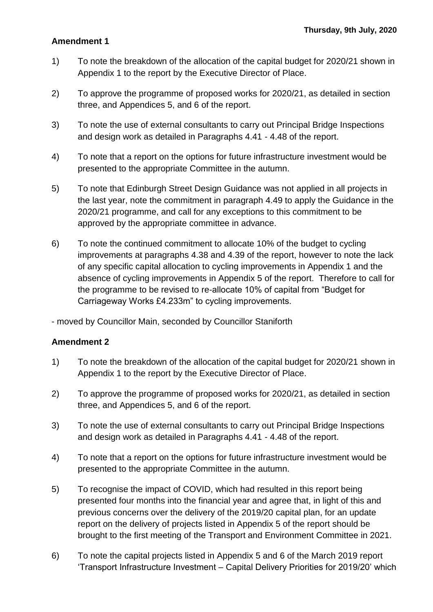#### **Amendment 1**

- 1) To note the breakdown of the allocation of the capital budget for 2020/21 shown in Appendix 1 to the report by the Executive Director of Place.
- 2) To approve the programme of proposed works for 2020/21, as detailed in section three, and Appendices 5, and 6 of the report.
- 3) To note the use of external consultants to carry out Principal Bridge Inspections and design work as detailed in Paragraphs 4.41 - 4.48 of the report.
- 4) To note that a report on the options for future infrastructure investment would be presented to the appropriate Committee in the autumn.
- 5) To note that Edinburgh Street Design Guidance was not applied in all projects in the last year, note the commitment in paragraph 4.49 to apply the Guidance in the 2020/21 programme, and call for any exceptions to this commitment to be approved by the appropriate committee in advance.
- 6) To note the continued commitment to allocate 10% of the budget to cycling improvements at paragraphs 4.38 and 4.39 of the report, however to note the lack of any specific capital allocation to cycling improvements in Appendix 1 and the absence of cycling improvements in Appendix 5 of the report. Therefore to call for the programme to be revised to re-allocate 10% of capital from "Budget for Carriageway Works £4.233m" to cycling improvements.
- moved by Councillor Main, seconded by Councillor Staniforth

#### **Amendment 2**

- 1) To note the breakdown of the allocation of the capital budget for 2020/21 shown in Appendix 1 to the report by the Executive Director of Place.
- 2) To approve the programme of proposed works for 2020/21, as detailed in section three, and Appendices 5, and 6 of the report.
- 3) To note the use of external consultants to carry out Principal Bridge Inspections and design work as detailed in Paragraphs 4.41 - 4.48 of the report.
- 4) To note that a report on the options for future infrastructure investment would be presented to the appropriate Committee in the autumn.
- 5) To recognise the impact of COVID, which had resulted in this report being presented four months into the financial year and agree that, in light of this and previous concerns over the delivery of the 2019/20 capital plan, for an update report on the delivery of projects listed in Appendix 5 of the report should be brought to the first meeting of the Transport and Environment Committee in 2021.
- 6) To note the capital projects listed in Appendix 5 and 6 of the March 2019 report 'Transport Infrastructure Investment – Capital Delivery Priorities for 2019/20' which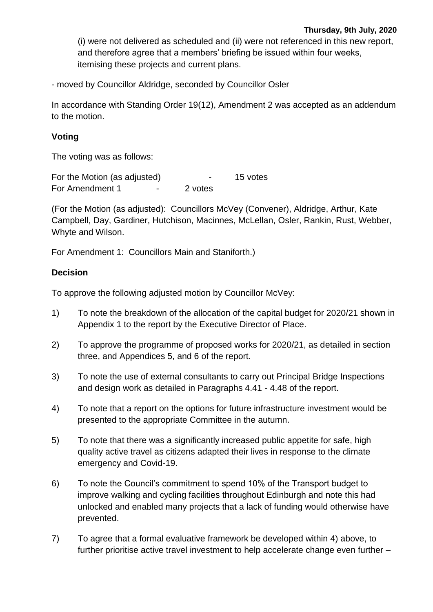(i) were not delivered as scheduled and (ii) were not referenced in this new report, and therefore agree that a members' briefing be issued within four weeks, itemising these projects and current plans.

- moved by Councillor Aldridge, seconded by Councillor Osler

In accordance with Standing Order 19(12), Amendment 2 was accepted as an addendum to the motion.

#### **Voting**

The voting was as follows:

For the Motion (as adjusted)  $\overline{\phantom{a}}$  - 15 votes For Amendment 1 - 2 votes

(For the Motion (as adjusted): Councillors McVey (Convener), Aldridge, Arthur, Kate Campbell, Day, Gardiner, Hutchison, Macinnes, McLellan, Osler, Rankin, Rust, Webber, Whyte and Wilson.

For Amendment 1: Councillors Main and Staniforth.)

#### **Decision**

To approve the following adjusted motion by Councillor McVey:

- 1) To note the breakdown of the allocation of the capital budget for 2020/21 shown in Appendix 1 to the report by the Executive Director of Place.
- 2) To approve the programme of proposed works for 2020/21, as detailed in section three, and Appendices 5, and 6 of the report.
- 3) To note the use of external consultants to carry out Principal Bridge Inspections and design work as detailed in Paragraphs 4.41 - 4.48 of the report.
- 4) To note that a report on the options for future infrastructure investment would be presented to the appropriate Committee in the autumn.
- 5) To note that there was a significantly increased public appetite for safe, high quality active travel as citizens adapted their lives in response to the climate emergency and Covid-19.
- 6) To note the Council's commitment to spend 10% of the Transport budget to improve walking and cycling facilities throughout Edinburgh and note this had unlocked and enabled many projects that a lack of funding would otherwise have prevented.
- 7) To agree that a formal evaluative framework be developed within 4) above, to further prioritise active travel investment to help accelerate change even further –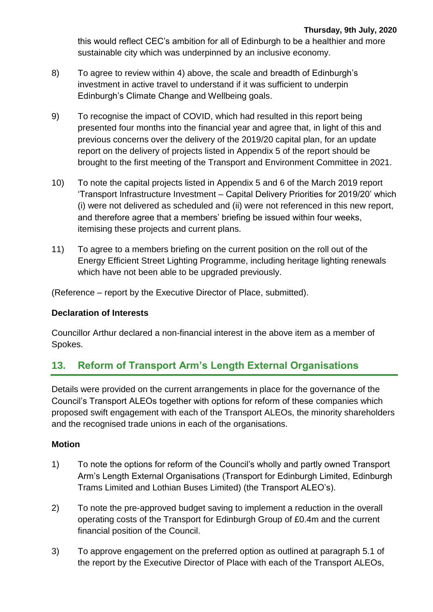this would reflect CEC's ambition for all of Edinburgh to be a healthier and more sustainable city which was underpinned by an inclusive economy.

- 8) To agree to review within 4) above, the scale and breadth of Edinburgh's investment in active travel to understand if it was sufficient to underpin Edinburgh's Climate Change and Wellbeing goals.
- 9) To recognise the impact of COVID, which had resulted in this report being presented four months into the financial year and agree that, in light of this and previous concerns over the delivery of the 2019/20 capital plan, for an update report on the delivery of projects listed in Appendix 5 of the report should be brought to the first meeting of the Transport and Environment Committee in 2021.
- 10) To note the capital projects listed in Appendix 5 and 6 of the March 2019 report 'Transport Infrastructure Investment – Capital Delivery Priorities for 2019/20' which (i) were not delivered as scheduled and (ii) were not referenced in this new report, and therefore agree that a members' briefing be issued within four weeks, itemising these projects and current plans.
- 11) To agree to a members briefing on the current position on the roll out of the Energy Efficient Street Lighting Programme, including heritage lighting renewals which have not been able to be upgraded previously.

(Reference – report by the Executive Director of Place, submitted).

#### **Declaration of Interests**

Councillor Arthur declared a non-financial interest in the above item as a member of Spokes.

# **13. Reform of Transport Arm's Length External Organisations**

Details were provided on the current arrangements in place for the governance of the Council's Transport ALEOs together with options for reform of these companies which proposed swift engagement with each of the Transport ALEOs, the minority shareholders and the recognised trade unions in each of the organisations.

#### **Motion**

- 1) To note the options for reform of the Council's wholly and partly owned Transport Arm's Length External Organisations (Transport for Edinburgh Limited, Edinburgh Trams Limited and Lothian Buses Limited) (the Transport ALEO's).
- 2) To note the pre-approved budget saving to implement a reduction in the overall operating costs of the Transport for Edinburgh Group of £0.4m and the current financial position of the Council.
- 3) To approve engagement on the preferred option as outlined at paragraph 5.1 of the report by the Executive Director of Place with each of the Transport ALEOs,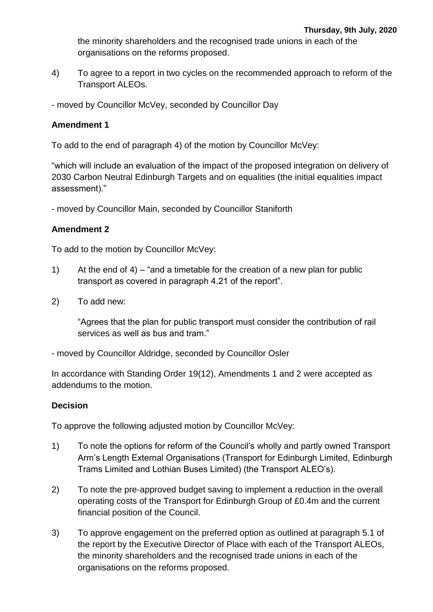the minority shareholders and the recognised trade unions in each of the organisations on the reforms proposed.

- 4) To agree to a report in two cycles on the recommended approach to reform of the Transport ALEOs.
- moved by Councillor McVey, seconded by Councillor Day

#### **Amendment 1**

To add to the end of paragraph 4) of the motion by Councillor McVey:

"which will include an evaluation of the impact of the proposed integration on delivery of 2030 Carbon Neutral Edinburgh Targets and on equalities (the initial equalities impact assessment)."

- moved by Councillor Main, seconded by Councillor Staniforth

### **Amendment 2**

To add to the motion by Councillor McVey:

- 1) At the end of 4) "and a timetable for the creation of a new plan for public transport as covered in paragraph 4.21 of the report".
- 2) To add new:

"Agrees that the plan for public transport must consider the contribution of rail services as well as bus and tram."

- moved by Councillor Aldridge, seconded by Councillor Osler

In accordance with Standing Order 19(12), Amendments 1 and 2 were accepted as addendums to the motion.

#### **Decision**

To approve the following adjusted motion by Councillor McVey:

- 1) To note the options for reform of the Council's wholly and partly owned Transport Arm's Length External Organisations (Transport for Edinburgh Limited, Edinburgh Trams Limited and Lothian Buses Limited) (the Transport ALEO's).
- 2) To note the pre-approved budget saving to implement a reduction in the overall operating costs of the Transport for Edinburgh Group of £0.4m and the current financial position of the Council.
- 3) To approve engagement on the preferred option as outlined at paragraph 5.1 of the report by the Executive Director of Place with each of the Transport ALEOs, the minority shareholders and the recognised trade unions in each of the organisations on the reforms proposed.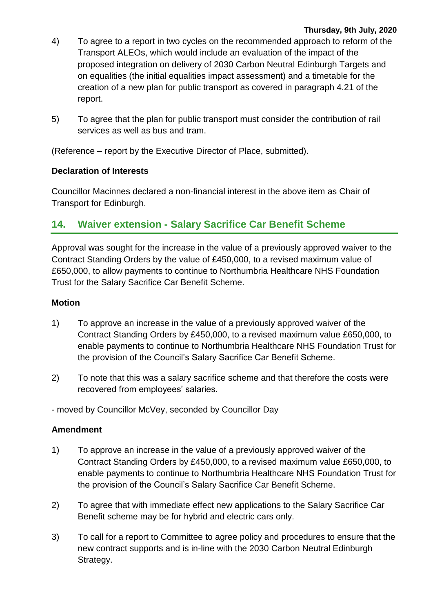#### **Thursday, 9th July, 2020**

- 4) To agree to a report in two cycles on the recommended approach to reform of the Transport ALEOs, which would include an evaluation of the impact of the proposed integration on delivery of 2030 Carbon Neutral Edinburgh Targets and on equalities (the initial equalities impact assessment) and a timetable for the creation of a new plan for public transport as covered in paragraph 4.21 of the report.
- 5) To agree that the plan for public transport must consider the contribution of rail services as well as bus and tram.

(Reference – report by the Executive Director of Place, submitted).

#### **Declaration of Interests**

Councillor Macinnes declared a non-financial interest in the above item as Chair of Transport for Edinburgh.

# **14. Waiver extension - Salary Sacrifice Car Benefit Scheme**

Approval was sought for the increase in the value of a previously approved waiver to the Contract Standing Orders by the value of £450,000, to a revised maximum value of £650,000, to allow payments to continue to Northumbria Healthcare NHS Foundation Trust for the Salary Sacrifice Car Benefit Scheme.

#### **Motion**

- 1) To approve an increase in the value of a previously approved waiver of the Contract Standing Orders by £450,000, to a revised maximum value £650,000, to enable payments to continue to Northumbria Healthcare NHS Foundation Trust for the provision of the Council's Salary Sacrifice Car Benefit Scheme.
- 2) To note that this was a salary sacrifice scheme and that therefore the costs were recovered from employees' salaries.
- moved by Councillor McVey, seconded by Councillor Day

#### **Amendment**

- 1) To approve an increase in the value of a previously approved waiver of the Contract Standing Orders by £450,000, to a revised maximum value £650,000, to enable payments to continue to Northumbria Healthcare NHS Foundation Trust for the provision of the Council's Salary Sacrifice Car Benefit Scheme.
- 2) To agree that with immediate effect new applications to the Salary Sacrifice Car Benefit scheme may be for hybrid and electric cars only.
- 3) To call for a report to Committee to agree policy and procedures to ensure that the new contract supports and is in-line with the 2030 Carbon Neutral Edinburgh Strategy.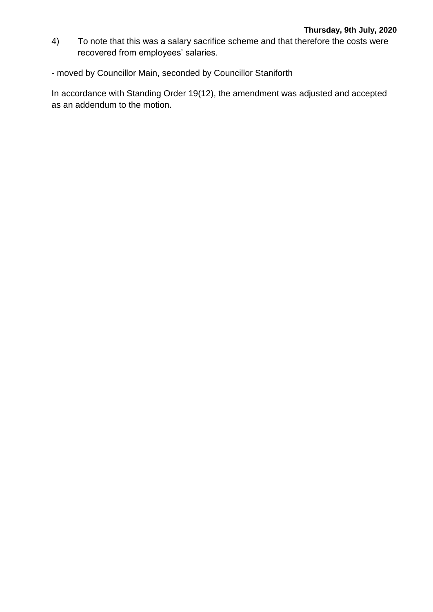- 4) To note that this was a salary sacrifice scheme and that therefore the costs were recovered from employees' salaries.
- moved by Councillor Main, seconded by Councillor Staniforth

In accordance with Standing Order 19(12), the amendment was adjusted and accepted as an addendum to the motion.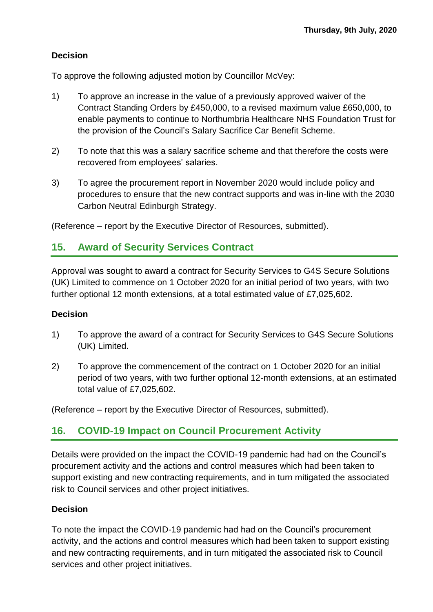# **Decision**

To approve the following adjusted motion by Councillor McVey:

- 1) To approve an increase in the value of a previously approved waiver of the Contract Standing Orders by £450,000, to a revised maximum value £650,000, to enable payments to continue to Northumbria Healthcare NHS Foundation Trust for the provision of the Council's Salary Sacrifice Car Benefit Scheme.
- 2) To note that this was a salary sacrifice scheme and that therefore the costs were recovered from employees' salaries.
- 3) To agree the procurement report in November 2020 would include policy and procedures to ensure that the new contract supports and was in-line with the 2030 Carbon Neutral Edinburgh Strategy.

(Reference – report by the Executive Director of Resources, submitted).

# **15. Award of Security Services Contract**

Approval was sought to award a contract for Security Services to G4S Secure Solutions (UK) Limited to commence on 1 October 2020 for an initial period of two years, with two further optional 12 month extensions, at a total estimated value of £7,025,602.

#### **Decision**

- 1) To approve the award of a contract for Security Services to G4S Secure Solutions (UK) Limited.
- 2) To approve the commencement of the contract on 1 October 2020 for an initial period of two years, with two further optional 12-month extensions, at an estimated total value of £7,025,602.

(Reference – report by the Executive Director of Resources, submitted).

# **16. COVID-19 Impact on Council Procurement Activity**

Details were provided on the impact the COVID-19 pandemic had had on the Council's procurement activity and the actions and control measures which had been taken to support existing and new contracting requirements, and in turn mitigated the associated risk to Council services and other project initiatives.

#### **Decision**

To note the impact the COVID-19 pandemic had had on the Council's procurement activity, and the actions and control measures which had been taken to support existing and new contracting requirements, and in turn mitigated the associated risk to Council services and other project initiatives.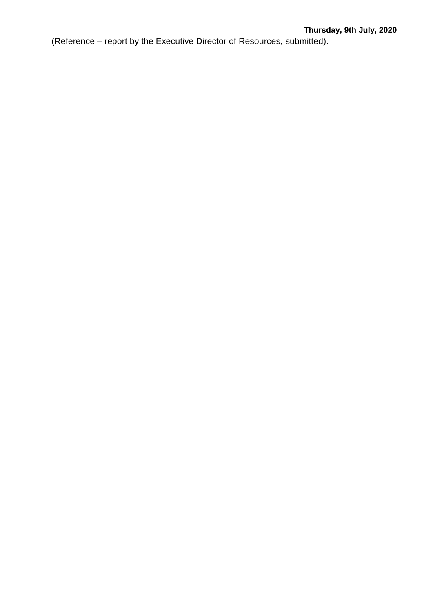(Reference – report by the Executive Director of Resources, submitted).